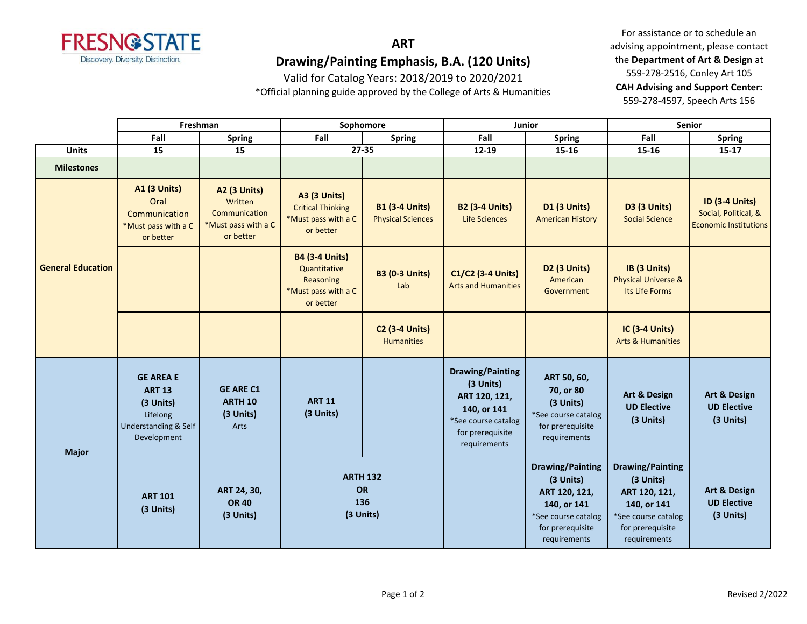

# **ART Drawing/Painting Emphasis, B.A. (120 Units)**

Valid for Catalog Years: 2018/2019 to 2020/2021

\*Official planning guide approved by the College of Arts & Humanities

For assistance or to schedule an advising appointment, please contact the **Department of Art & Design** at 559-278-2516, Conley Art 105 **CAH Advising and Support Center:**  559-278-4597, Speech Arts 156

|                          |                                                                                                   | Freshman                                                                            | Sophomore                                                                              |                                                   | Junior                                                                                                                          |                                                                                                                                 | <b>Senior</b>                                                                                                                   |                                                                               |
|--------------------------|---------------------------------------------------------------------------------------------------|-------------------------------------------------------------------------------------|----------------------------------------------------------------------------------------|---------------------------------------------------|---------------------------------------------------------------------------------------------------------------------------------|---------------------------------------------------------------------------------------------------------------------------------|---------------------------------------------------------------------------------------------------------------------------------|-------------------------------------------------------------------------------|
|                          | Fall                                                                                              | <b>Spring</b>                                                                       | Fall<br><b>Spring</b>                                                                  |                                                   | Fall                                                                                                                            | <b>Spring</b>                                                                                                                   | Fall                                                                                                                            | <b>Spring</b>                                                                 |
| <b>Units</b>             | 15                                                                                                | 15                                                                                  |                                                                                        | 27-35                                             | $12 - 19$                                                                                                                       | 15-16                                                                                                                           | 15-16                                                                                                                           | 15-17                                                                         |
| <b>Milestones</b>        |                                                                                                   |                                                                                     |                                                                                        |                                                   |                                                                                                                                 |                                                                                                                                 |                                                                                                                                 |                                                                               |
|                          | <b>A1 (3 Units)</b><br>Oral<br>Communication<br>*Must pass with a C<br>or better                  | <b>A2 (3 Units)</b><br>Written<br>Communication<br>*Must pass with a C<br>or better | <b>A3 (3 Units)</b><br><b>Critical Thinking</b><br>*Must pass with a C<br>or better    | <b>B1 (3-4 Units)</b><br><b>Physical Sciences</b> | <b>B2 (3-4 Units)</b><br>Life Sciences                                                                                          | <b>D1 (3 Units)</b><br><b>American History</b>                                                                                  | D3 (3 Units)<br><b>Social Science</b>                                                                                           | <b>ID (3-4 Units)</b><br>Social, Political, &<br><b>Economic Institutions</b> |
| <b>General Education</b> |                                                                                                   |                                                                                     | <b>B4 (3-4 Units)</b><br>Quantitative<br>Reasoning<br>*Must pass with a C<br>or better | <b>B3 (0-3 Units)</b><br>Lab                      | C1/C2 (3-4 Units)<br><b>Arts and Humanities</b>                                                                                 | D2 (3 Units)<br>American<br>Government                                                                                          | IB (3 Units)<br><b>Physical Universe &amp;</b><br>Its Life Forms                                                                |                                                                               |
|                          |                                                                                                   |                                                                                     |                                                                                        | <b>C2 (3-4 Units)</b><br><b>Humanities</b>        |                                                                                                                                 |                                                                                                                                 | <b>IC (3-4 Units)</b><br><b>Arts &amp; Humanities</b>                                                                           |                                                                               |
| <b>Major</b>             | <b>GE AREA E</b><br><b>ART 13</b><br>(3 Units)<br>Lifelong<br>Understanding & Self<br>Development | <b>GE ARE C1</b><br><b>ARTH 10</b><br>(3 Units)<br>Arts                             | <b>ART 11</b><br>(3 Units)                                                             |                                                   | <b>Drawing/Painting</b><br>(3 Units)<br>ART 120, 121,<br>140, or 141<br>*See course catalog<br>for prerequisite<br>requirements | ART 50, 60,<br>70, or 80<br>(3 Units)<br>*See course catalog<br>for prerequisite<br>requirements                                | Art & Design<br><b>UD Elective</b><br>(3 Units)                                                                                 | Art & Design<br><b>UD Elective</b><br>(3 Units)                               |
|                          | <b>ART 101</b><br>(3 Units)                                                                       | ART 24, 30,<br><b>OR 40</b><br>(3 Units)                                            | <b>ARTH 132</b><br>OR<br>136<br>(3 Units)                                              |                                                   |                                                                                                                                 | <b>Drawing/Painting</b><br>(3 Units)<br>ART 120, 121,<br>140, or 141<br>*See course catalog<br>for prerequisite<br>requirements | <b>Drawing/Painting</b><br>(3 Units)<br>ART 120, 121,<br>140, or 141<br>*See course catalog<br>for prerequisite<br>requirements | Art & Design<br><b>UD Elective</b><br>(3 Units)                               |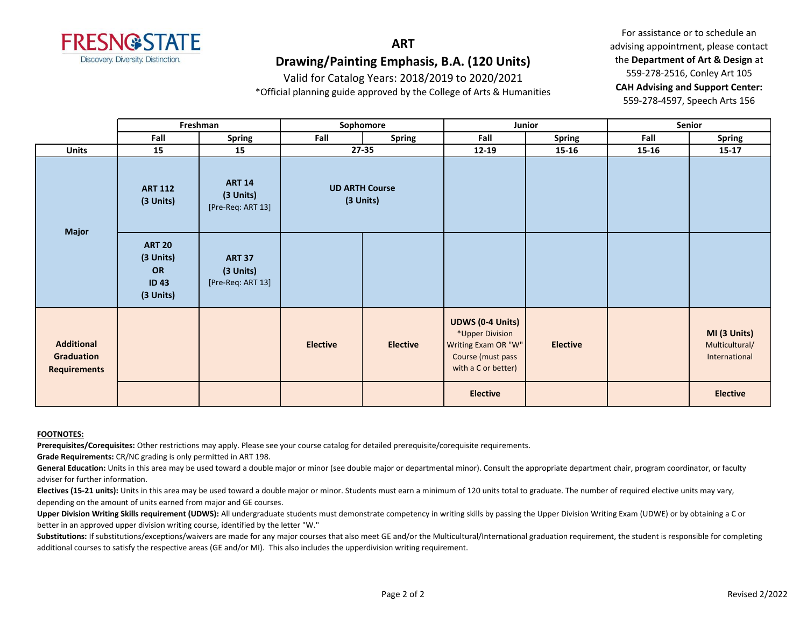

# **ART Drawing/Painting Emphasis, B.A. (120 Units)**

Valid for Catalog Years: 2018/2019 to 2020/2021

\*Official planning guide approved by the College of Arts & Humanities

For assistance or to schedule an advising appointment, please contact the **Department of Art & Design** at 559-278-2516, Conley Art 105 **CAH Advising and Support Center:**  559-278-4597, Speech Arts 156

|                                                               | Freshman                                                     |                                                 | Sophomore                          |                 | Junior                                                                                                        |                 | Senior    |                                                 |
|---------------------------------------------------------------|--------------------------------------------------------------|-------------------------------------------------|------------------------------------|-----------------|---------------------------------------------------------------------------------------------------------------|-----------------|-----------|-------------------------------------------------|
|                                                               | Fall                                                         | <b>Spring</b>                                   | Fall                               | <b>Spring</b>   | Fall                                                                                                          | <b>Spring</b>   | Fall      | <b>Spring</b>                                   |
| <b>Units</b>                                                  | 15                                                           | 15                                              | $27 - 35$                          |                 | $12 - 19$                                                                                                     | 15-16           | $15 - 16$ | $15 - 17$                                       |
| <b>Major</b>                                                  | <b>ART 112</b><br>(3 Units)                                  | <b>ART 14</b><br>(3 Units)<br>[Pre-Req: ART 13] | <b>UD ARTH Course</b><br>(3 Units) |                 |                                                                                                               |                 |           |                                                 |
|                                                               | <b>ART 20</b><br>(3 Units)<br>OR<br><b>ID43</b><br>(3 Units) | <b>ART 37</b><br>(3 Units)<br>[Pre-Req: ART 13] |                                    |                 |                                                                                                               |                 |           |                                                 |
| <b>Additional</b><br><b>Graduation</b><br><b>Requirements</b> |                                                              |                                                 | <b>Elective</b>                    | <b>Elective</b> | <b>UDWS (0-4 Units)</b><br>*Upper Division<br>Writing Exam OR "W"<br>Course (must pass<br>with a C or better) | <b>Elective</b> |           | MI (3 Units)<br>Multicultural/<br>International |
|                                                               |                                                              |                                                 |                                    |                 | <b>Elective</b>                                                                                               |                 |           | <b>Elective</b>                                 |

#### **FOOTNOTES:**

**Prerequisites/Corequisites:** Other restrictions may apply. Please see your course catalog for detailed prerequisite/corequisite requirements.

**Grade Requirements:** CR/NC grading is only permitted in ART 198.

General Education: Units in this area may be used toward a double major or minor (see double major or departmental minor). Consult the appropriate department chair, program coordinator, or faculty adviser for further information.

**Electives (15-21 units):** Units in this area may be used toward a double major or minor. Students must earn a minimum of 120 units total to graduate. The number of required elective units may vary, depending on the amount of units earned from major and GE courses.

Upper Division Writing Skills requirement (UDWS): All undergraduate students must demonstrate competency in writing skills by passing the Upper Division Writing Exam (UDWE) or by obtaining a C or better in an approved upper division writing course, identified by the letter "W."

Substitutions: If substitutions/exceptions/waivers are made for any major courses that also meet GE and/or the Multicultural/International graduation requirement, the student is responsible for completing additional courses to satisfy the respective areas (GE and/or MI). This also includes the upperdivision writing requirement.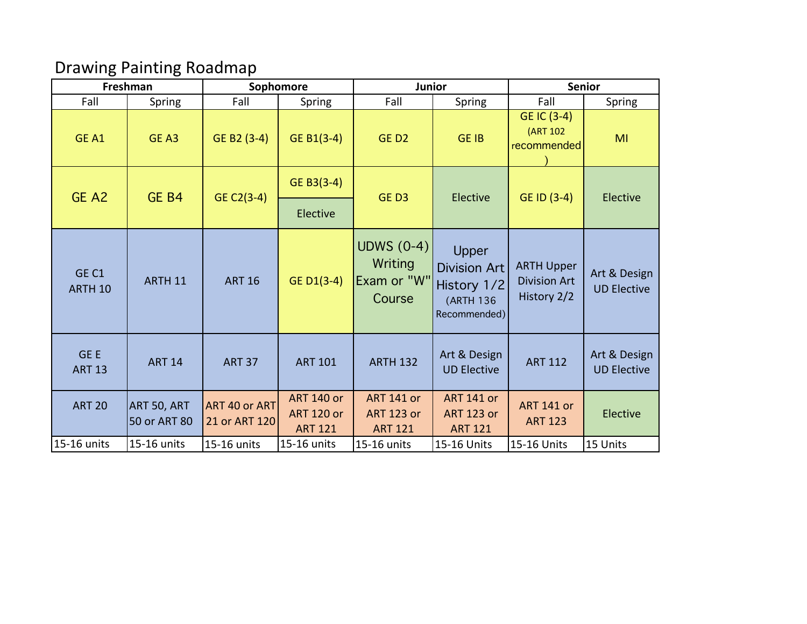# Drawing Painting Roadmap

| Freshman                               |                              |                                | Sophomore                                                | <b>Junior</b>                                            |                                                                          | <b>Senior</b>                                           |                                    |  |
|----------------------------------------|------------------------------|--------------------------------|----------------------------------------------------------|----------------------------------------------------------|--------------------------------------------------------------------------|---------------------------------------------------------|------------------------------------|--|
| Fall                                   | Spring                       | Fall                           | Spring                                                   | Fall                                                     | Spring                                                                   | Fall                                                    | Spring                             |  |
| GE A1                                  | GE A3                        | GE B2 (3-4)                    | GE B1 $(3-4)$                                            | GED <sub>2</sub>                                         | <b>GE IB</b>                                                             | GE IC (3-4)<br>(ART 102<br>recommended                  | MI                                 |  |
| GE A2                                  | GE B4                        | $GE C2(3-4)$                   | GE B3(3-4)                                               | GED3                                                     | Elective                                                                 | GE ID (3-4)                                             | Elective                           |  |
|                                        |                              |                                | Elective                                                 |                                                          |                                                                          |                                                         |                                    |  |
| GE <sub>C1</sub><br>ARTH <sub>10</sub> | <b>ARTH 11</b>               | <b>ART 16</b>                  | GE D1(3-4)                                               | UDWS $(0-4)$<br>Writing<br>Exam or "W"<br>Course         | Upper<br><b>Division Art</b><br>History 1/2<br>(ARTH 136<br>Recommended) | <b>ARTH Upper</b><br><b>Division Art</b><br>History 2/2 | Art & Design<br><b>UD Elective</b> |  |
| GE E<br><b>ART 13</b>                  | <b>ART 14</b>                | <b>ART 37</b>                  | <b>ART 101</b>                                           | <b>ARTH 132</b>                                          | Art & Design<br><b>UD Elective</b>                                       | <b>ART 112</b>                                          | Art & Design<br><b>UD Elective</b> |  |
| <b>ART 20</b>                          | ART 50, ART <br>50 or ART 80 | ART 40 or ART<br>21 or ART 120 | <b>ART 140 or</b><br><b>ART 120 or</b><br><b>ART 121</b> | <b>ART 141 or</b><br><b>ART 123 or</b><br><b>ART 121</b> | <b>ART 141 or</b><br><b>ART 123 or</b><br><b>ART 121</b>                 | <b>ART 141 or</b><br><b>ART 123</b>                     | Elective                           |  |
| 15-16 units                            | 15-16 units                  | 15-16 units                    | 15-16 units                                              | 15-16 units                                              | 15-16 Units                                                              | 15-16 Units                                             | 15 Units                           |  |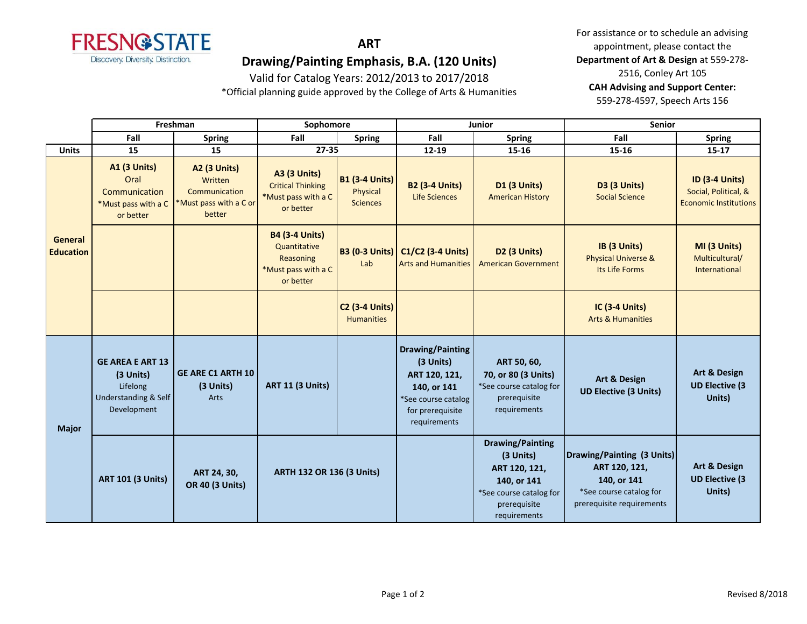

## **ART**

# **Drawing/Painting Emphasis, B.A. (120 Units)**

Valid for Catalog Years: 2012/2013 to 2017/2018

\*Official planning guide approved by the College of Arts & Humanities

For assistance or to schedule an advising appointment, please contact the **Department of Art & Design** at 559-278- 2516, Conley Art 105 **CAH Advising and Support Center:**  559-278-4597, Speech Arts 156

|                             | Freshman                                                                                |                                                                                     | Sophomore                                                                              |                                                      | Junior                                                                                                                          |                                                                                                                                 | <b>Senior</b>                                                                                                      |                                                                               |
|-----------------------------|-----------------------------------------------------------------------------------------|-------------------------------------------------------------------------------------|----------------------------------------------------------------------------------------|------------------------------------------------------|---------------------------------------------------------------------------------------------------------------------------------|---------------------------------------------------------------------------------------------------------------------------------|--------------------------------------------------------------------------------------------------------------------|-------------------------------------------------------------------------------|
|                             | Fall                                                                                    | <b>Spring</b>                                                                       | Fall                                                                                   | <b>Spring</b>                                        | Fall                                                                                                                            | <b>Spring</b>                                                                                                                   | Fall                                                                                                               | <b>Spring</b>                                                                 |
| <b>Units</b>                | 15                                                                                      | 15                                                                                  | $27 - 35$                                                                              |                                                      | 12-19                                                                                                                           | 15-16                                                                                                                           | 15-16                                                                                                              | $15 - 17$                                                                     |
| General<br><b>Education</b> | <b>A1 (3 Units)</b><br>Oral<br>Communication<br>*Must pass with a C<br>or better        | <b>A2 (3 Units)</b><br>Written<br>Communication<br>*Must pass with a C or<br>better | <b>A3 (3 Units)</b><br><b>Critical Thinking</b><br>*Must pass with a C<br>or better    | <b>B1 (3-4 Units)</b><br>Physical<br><b>Sciences</b> | <b>B2 (3-4 Units)</b><br><b>Life Sciences</b>                                                                                   | <b>D1 (3 Units)</b><br><b>American History</b>                                                                                  | D3 (3 Units)<br><b>Social Science</b>                                                                              | <b>ID (3-4 Units)</b><br>Social, Political, &<br><b>Economic Institutions</b> |
|                             |                                                                                         |                                                                                     | <b>B4 (3-4 Units)</b><br>Quantitative<br>Reasoning<br>*Must pass with a C<br>or better | <b>B3 (0-3 Units)</b><br>Lab                         | $C1/C2$ (3-4 Units)<br><b>Arts and Humanities</b>                                                                               | D <sub>2</sub> (3 Units)<br><b>American Government</b>                                                                          | IB (3 Units)<br><b>Physical Universe &amp;</b><br>Its Life Forms                                                   | MI (3 Units)<br>Multicultural/<br>International                               |
|                             |                                                                                         |                                                                                     |                                                                                        | <b>C2 (3-4 Units)</b><br><b>Humanities</b>           |                                                                                                                                 |                                                                                                                                 | <b>IC (3-4 Units)</b><br><b>Arts &amp; Humanities</b>                                                              |                                                                               |
| <b>Major</b>                | <b>GE AREA E ART 13</b><br>(3 Units)<br>Lifelong<br>Understanding & Self<br>Development | <b>GE ARE C1 ARTH 10</b><br>(3 Units)<br>Arts                                       | <b>ART 11 (3 Units)</b>                                                                |                                                      | <b>Drawing/Painting</b><br>(3 Units)<br>ART 120, 121,<br>140, or 141<br>*See course catalog<br>for prerequisite<br>requirements | ART 50, 60,<br>70, or 80 (3 Units)<br>*See course catalog for<br>prerequisite<br>requirements                                   | Art & Design<br><b>UD Elective (3 Units)</b>                                                                       | <b>Art &amp; Design</b><br><b>UD Elective (3)</b><br>Units)                   |
|                             | <b>ART 101 (3 Units)</b>                                                                | ART 24, 30,<br><b>OR 40 (3 Units)</b>                                               | <b>ARTH 132 OR 136 (3 Units)</b>                                                       |                                                      |                                                                                                                                 | <b>Drawing/Painting</b><br>(3 Units)<br>ART 120, 121,<br>140, or 141<br>*See course catalog for<br>prerequisite<br>requirements | Drawing/Painting (3 Units)<br>ART 120, 121,<br>140, or 141<br>*See course catalog for<br>prerequisite requirements | <b>Art &amp; Design</b><br><b>UD Elective (3)</b><br>Units)                   |